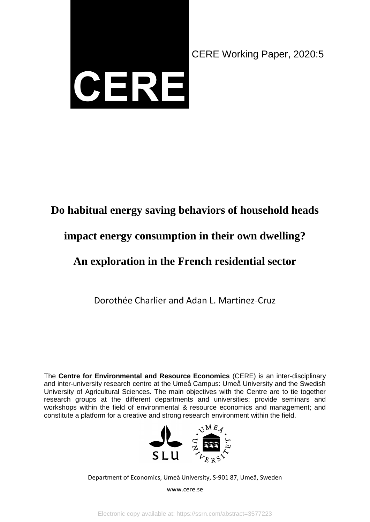

CERE Working Paper, 2020:5

# **Do habitual energy saving behaviors of household heads**

# **impact energy consumption in their own dwelling?**

# **An exploration in the French residential sector**

Dorothée Charlier and Adan L. Martinez-Cruz

The **Centre for Environmental and Resource Economics** (CERE) is an inter-disciplinary and inter-university research centre at the Umeå Campus: Umeå University and the Swedish University of Agricultural Sciences. The main objectives with the Centre are to tie together research groups at the different departments and universities; provide seminars and workshops within the field of environmental & resource economics and management; and constitute a platform for a creative and strong research environment within the field.



Department of Economics, Umeå University, S-901 87, Umeå, Sweden

www.cere.se

Electronic copy available at: https://ssrn.com/abstract=3577223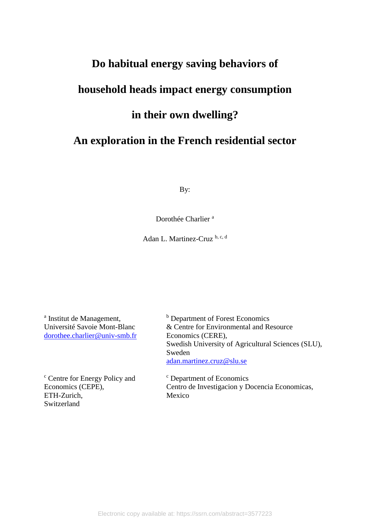# **Do habitual energy saving behaviors of household heads impact energy consumption in their own dwelling? An exploration in the French residential sector**

By:

Dorothée Charlier<sup>a</sup>

Adan L. Martinez-Cruz b, c, d

<sup>a</sup> Institut de Management, Université Savoie Mont-Blanc dorothee.charlier@univ-smb.fr

<sup>c</sup> Centre for Energy Policy and Economics (CEPE), ETH-Zurich, Switzerland

<sup>b</sup> Department of Forest Economics & Centre for Environmental and Resource Economics (CERE), Swedish University of Agricultural Sciences (SLU), Sweden adan.martinez.cruz@slu.se

<sup>c</sup> Department of Economics Centro de Investigacion y Docencia Economicas, Mexico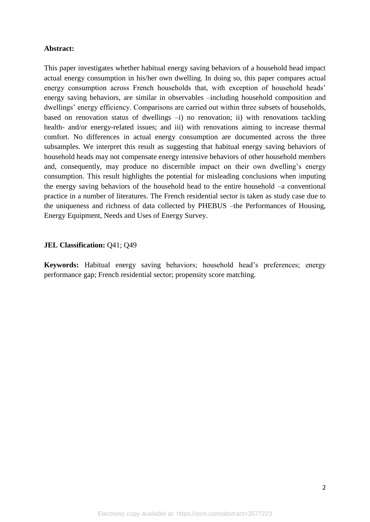#### **Abstract:**

This paper investigates whether habitual energy saving behaviors of a household head impact actual energy consumption in his/her own dwelling. In doing so, this paper compares actual energy consumption across French households that, with exception of household heads' energy saving behaviors, are similar in observables –including household composition and dwellings' energy efficiency. Comparisons are carried out within three subsets of households, based on renovation status of dwellings -i) no renovation; ii) with renovations tackling health- and/or energy-related issues; and iii) with renovations aiming to increase thermal comfort. No differences in actual energy consumption are documented across the three subsamples. We interpret this result as suggesting that habitual energy saving behaviors of household heads may not compensate energy intensive behaviors of other household members and, consequently, may produce no discernible impact on their own dwelling's energy consumption. This result highlights the potential for misleading conclusions when imputing the energy saving behaviors of the household head to the entire household –a conventional practice in a number of literatures. The French residential sector is taken as study case due to the uniqueness and richness of data collected by PHEBUS –the Performances of Housing, Energy Equipment, Needs and Uses of Energy Survey.

#### **JEL Classification:** Q41; Q49

**Keywords:** Habitual energy saving behaviors; household head's preferences; energy performance gap; French residential sector; propensity score matching.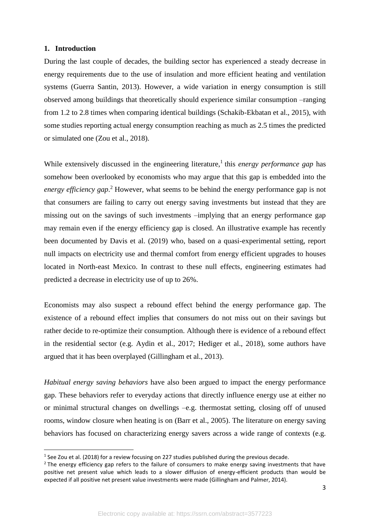#### **1. Introduction**

 $\overline{a}$ 

During the last couple of decades, the building sector has experienced a steady decrease in energy requirements due to the use of insulation and more efficient heating and ventilation systems (Guerra Santin, 2013). However, a wide variation in energy consumption is still observed among buildings that theoretically should experience similar consumption –ranging from 1.2 to 2.8 times when comparing identical buildings (Schakib-Ekbatan et al., 2015), with some studies reporting actual energy consumption reaching as much as 2.5 times the predicted or simulated one (Zou et al., 2018).

While extensively discussed in the engineering literature,<sup>1</sup> this *energy performance gap* has somehow been overlooked by economists who may argue that this gap is embedded into the *energy efficiency gap*. <sup>2</sup> However, what seems to be behind the energy performance gap is not that consumers are failing to carry out energy saving investments but instead that they are missing out on the savings of such investments –implying that an energy performance gap may remain even if the energy efficiency gap is closed. An illustrative example has recently been documented by Davis et al. (2019) who, based on a quasi-experimental setting, report null impacts on electricity use and thermal comfort from energy efficient upgrades to houses located in North-east Mexico. In contrast to these null effects, engineering estimates had predicted a decrease in electricity use of up to 26%.

Economists may also suspect a rebound effect behind the energy performance gap. The existence of a rebound effect implies that consumers do not miss out on their savings but rather decide to re-optimize their consumption. Although there is evidence of a rebound effect in the residential sector (e.g. Aydin et al., 2017; Hediger et al., 2018), some authors have argued that it has been overplayed (Gillingham et al., 2013).

*Habitual energy saving behaviors* have also been argued to impact the energy performance gap. These behaviors refer to everyday actions that directly influence energy use at either no or minimal structural changes on dwellings –e.g. thermostat setting, closing off of unused rooms, window closure when heating is on (Barr et al., 2005). The literature on energy saving behaviors has focused on characterizing energy savers across a wide range of contexts (e.g.

 $^1$  See Zou et al. (2018) for a review focusing on 227 studies published during the previous decade.

 $<sup>2</sup>$  The energy efficiency gap refers to the failure of consumers to make energy saving investments that have</sup> positive net present value which leads to a slower diffusion of energy-efficient products than would be expected if all positive net present value investments were made (Gillingham and Palmer, 2014).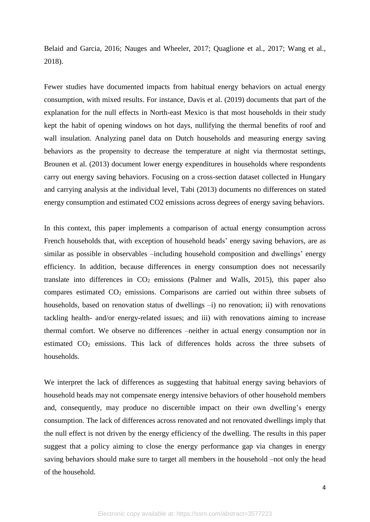Belaid and Garcia, 2016; Nauges and Wheeler, 2017; Quaglione et al., 2017; Wang et al., 2018).

Fewer studies have documented impacts from habitual energy behaviors on actual energy consumption, with mixed results. For instance, Davis et al. (2019) documents that part of the explanation for the null effects in North-east Mexico is that most households in their study kept the habit of opening windows on hot days, nullifying the thermal benefits of roof and wall insulation. Analyzing panel data on Dutch households and measuring energy saving behaviors as the propensity to decrease the temperature at night via thermostat settings, Brounen et al. (2013) document lower energy expenditures in households where respondents carry out energy saving behaviors. Focusing on a cross-section dataset collected in Hungary and carrying analysis at the individual level, Tabi (2013) documents no differences on stated energy consumption and estimated CO2 emissions across degrees of energy saving behaviors.

In this context, this paper implements a comparison of actual energy consumption across French households that, with exception of household heads' energy saving behaviors, are as similar as possible in observables –including household composition and dwellings' energy efficiency. In addition, because differences in energy consumption does not necessarily translate into differences in  $CO<sub>2</sub>$  emissions (Palmer and Walls, 2015), this paper also compares estimated CO<sub>2</sub> emissions. Comparisons are carried out within three subsets of households, based on renovation status of dwellings  $-i$ ) no renovation; ii) with renovations tackling health- and/or energy-related issues; and iii) with renovations aiming to increase thermal comfort. We observe no differences –neither in actual energy consumption nor in estimated  $CO<sub>2</sub>$  emissions. This lack of differences holds across the three subsets of households.

We interpret the lack of differences as suggesting that habitual energy saving behaviors of household heads may not compensate energy intensive behaviors of other household members and, consequently, may produce no discernible impact on their own dwelling's energy consumption. The lack of differences across renovated and not renovated dwellings imply that the null effect is not driven by the energy efficiency of the dwelling. The results in this paper suggest that a policy aiming to close the energy performance gap via changes in energy saving behaviors should make sure to target all members in the household –not only the head of the household.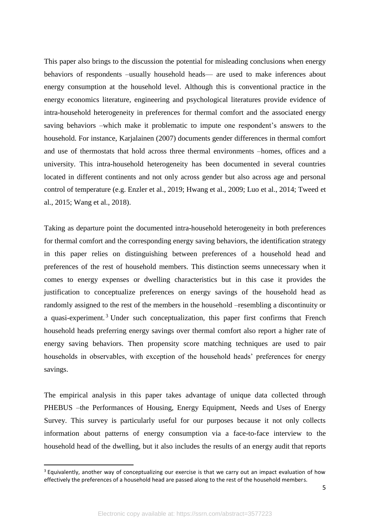This paper also brings to the discussion the potential for misleading conclusions when energy behaviors of respondents –usually household heads— are used to make inferences about energy consumption at the household level. Although this is conventional practice in the energy economics literature, engineering and psychological literatures provide evidence of intra-household heterogeneity in preferences for thermal comfort and the associated energy saving behaviors –which make it problematic to impute one respondent's answers to the household. For instance, Karjalainen (2007) documents gender differences in thermal comfort and use of thermostats that hold across three thermal environments –homes, offices and a university. This intra-household heterogeneity has been documented in several countries located in different continents and not only across gender but also across age and personal control of temperature (e.g. Enzler et al., 2019; Hwang et al., 2009; Luo et al., 2014; Tweed et al., 2015; Wang et al., 2018).

Taking as departure point the documented intra-household heterogeneity in both preferences for thermal comfort and the corresponding energy saving behaviors, the identification strategy in this paper relies on distinguishing between preferences of a household head and preferences of the rest of household members. This distinction seems unnecessary when it comes to energy expenses or dwelling characteristics but in this case it provides the justification to conceptualize preferences on energy savings of the household head as randomly assigned to the rest of the members in the household –resembling a discontinuity or a quasi-experiment. <sup>3</sup> Under such conceptualization, this paper first confirms that French household heads preferring energy savings over thermal comfort also report a higher rate of energy saving behaviors. Then propensity score matching techniques are used to pair households in observables, with exception of the household heads' preferences for energy savings.

The empirical analysis in this paper takes advantage of unique data collected through PHEBUS –the Performances of Housing, Energy Equipment, Needs and Uses of Energy Survey. This survey is particularly useful for our purposes because it not only collects information about patterns of energy consumption via a face-to-face interview to the household head of the dwelling, but it also includes the results of an energy audit that reports

 $\overline{a}$ 

<sup>&</sup>lt;sup>3</sup> Equivalently, another way of conceptualizing our exercise is that we carry out an impact evaluation of how effectively the preferences of a household head are passed along to the rest of the household members.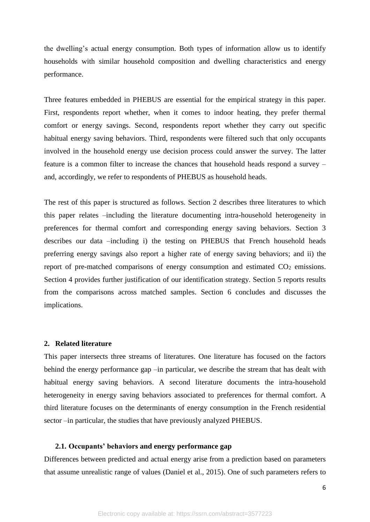the dwelling's actual energy consumption. Both types of information allow us to identify households with similar household composition and dwelling characteristics and energy performance.

Three features embedded in PHEBUS are essential for the empirical strategy in this paper. First, respondents report whether, when it comes to indoor heating, they prefer thermal comfort or energy savings. Second, respondents report whether they carry out specific habitual energy saving behaviors. Third, respondents were filtered such that only occupants involved in the household energy use decision process could answer the survey. The latter feature is a common filter to increase the chances that household heads respond a survey – and, accordingly, we refer to respondents of PHEBUS as household heads.

The rest of this paper is structured as follows. Section 2 describes three literatures to which this paper relates –including the literature documenting intra-household heterogeneity in preferences for thermal comfort and corresponding energy saving behaviors. Section 3 describes our data –including i) the testing on PHEBUS that French household heads preferring energy savings also report a higher rate of energy saving behaviors; and ii) the report of pre-matched comparisons of energy consumption and estimated  $CO<sub>2</sub>$  emissions. Section 4 provides further justification of our identification strategy. Section 5 reports results from the comparisons across matched samples. Section 6 concludes and discusses the implications.

#### **2. Related literature**

This paper intersects three streams of literatures. One literature has focused on the factors behind the energy performance gap –in particular, we describe the stream that has dealt with habitual energy saving behaviors. A second literature documents the intra-household heterogeneity in energy saving behaviors associated to preferences for thermal comfort. A third literature focuses on the determinants of energy consumption in the French residential sector –in particular, the studies that have previously analyzed PHEBUS.

#### **2.1. Occupants' behaviors and energy performance gap**

Differences between predicted and actual energy arise from a prediction based on parameters that assume unrealistic range of values (Daniel et al., 2015). One of such parameters refers to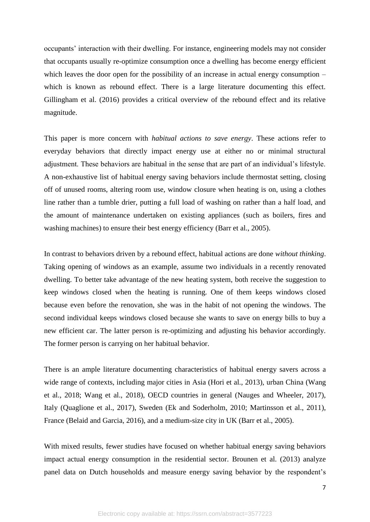occupants' interaction with their dwelling. For instance, engineering models may not consider that occupants usually re-optimize consumption once a dwelling has become energy efficient which leaves the door open for the possibility of an increase in actual energy consumption – which is known as rebound effect. There is a large literature documenting this effect. Gillingham et al. (2016) provides a critical overview of the rebound effect and its relative magnitude.

This paper is more concern with *habitual actions to save energy*. These actions refer to everyday behaviors that directly impact energy use at either no or minimal structural adjustment. These behaviors are habitual in the sense that are part of an individual's lifestyle. A non-exhaustive list of habitual energy saving behaviors include thermostat setting, closing off of unused rooms, altering room use, window closure when heating is on, using a clothes line rather than a tumble drier, putting a full load of washing on rather than a half load, and the amount of maintenance undertaken on existing appliances (such as boilers, fires and washing machines) to ensure their best energy efficiency (Barr et al., 2005).

In contrast to behaviors driven by a rebound effect, habitual actions are done *without thinking*. Taking opening of windows as an example, assume two individuals in a recently renovated dwelling. To better take advantage of the new heating system, both receive the suggestion to keep windows closed when the heating is running. One of them keeps windows closed because even before the renovation, she was in the habit of not opening the windows. The second individual keeps windows closed because she wants to save on energy bills to buy a new efficient car. The latter person is re-optimizing and adjusting his behavior accordingly. The former person is carrying on her habitual behavior.

There is an ample literature documenting characteristics of habitual energy savers across a wide range of contexts, including major cities in Asia (Hori et al., 2013), urban China (Wang et al., 2018; Wang et al., 2018), OECD countries in general (Nauges and Wheeler, 2017), Italy (Quaglione et al., 2017), Sweden (Ek and Soderholm, 2010; Martinsson et al., 2011), France (Belaid and Garcia, 2016), and a medium-size city in UK (Barr et al., 2005).

With mixed results, fewer studies have focused on whether habitual energy saving behaviors impact actual energy consumption in the residential sector. Brounen et al. (2013) analyze panel data on Dutch households and measure energy saving behavior by the respondent's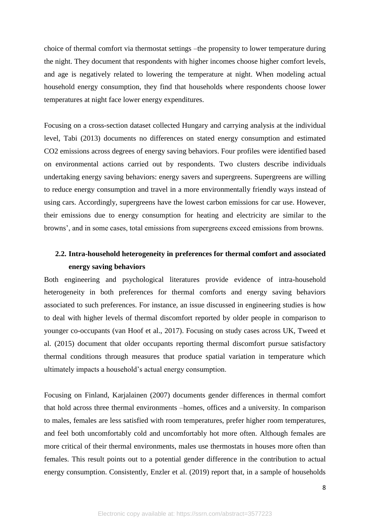choice of thermal comfort via thermostat settings –the propensity to lower temperature during the night. They document that respondents with higher incomes choose higher comfort levels, and age is negatively related to lowering the temperature at night. When modeling actual household energy consumption, they find that households where respondents choose lower temperatures at night face lower energy expenditures.

Focusing on a cross-section dataset collected Hungary and carrying analysis at the individual level, Tabi (2013) documents no differences on stated energy consumption and estimated CO2 emissions across degrees of energy saving behaviors. Four profiles were identified based on environmental actions carried out by respondents. Two clusters describe individuals undertaking energy saving behaviors: energy savers and supergreens. Supergreens are willing to reduce energy consumption and travel in a more environmentally friendly ways instead of using cars. Accordingly, supergreens have the lowest carbon emissions for car use. However, their emissions due to energy consumption for heating and electricity are similar to the browns', and in some cases, total emissions from supergreens exceed emissions from browns.

## **2.2. Intra-household heterogeneity in preferences for thermal comfort and associated energy saving behaviors**

Both engineering and psychological literatures provide evidence of intra-household heterogeneity in both preferences for thermal comforts and energy saving behaviors associated to such preferences. For instance, an issue discussed in engineering studies is how to deal with higher levels of thermal discomfort reported by older people in comparison to younger co-occupants (van Hoof et al., 2017). Focusing on study cases across UK, Tweed et al. (2015) document that older occupants reporting thermal discomfort pursue satisfactory thermal conditions through measures that produce spatial variation in temperature which ultimately impacts a household's actual energy consumption.

Focusing on Finland, Karjalainen (2007) documents gender differences in thermal comfort that hold across three thermal environments –homes, offices and a university. In comparison to males, females are less satisfied with room temperatures, prefer higher room temperatures, and feel both uncomfortably cold and uncomfortably hot more often. Although females are more critical of their thermal environments, males use thermostats in houses more often than females. This result points out to a potential gender difference in the contribution to actual energy consumption. Consistently, Enzler et al. (2019) report that, in a sample of households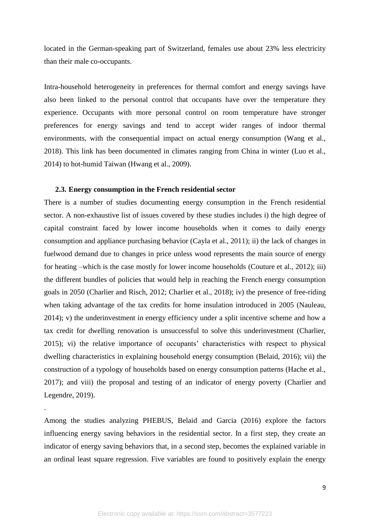located in the German-speaking part of Switzerland, females use about 23% less electricity than their male co-occupants.

Intra-household heterogeneity in preferences for thermal comfort and energy savings have also been linked to the personal control that occupants have over the temperature they experience. Occupants with more personal control on room temperature have stronger preferences for energy savings and tend to accept wider ranges of indoor thermal environments, with the consequential impact on actual energy consumption (Wang et al., 2018). This link has been documented in climates ranging from China in winter (Luo et al., 2014) to hot-humid Taiwan (Hwang et al., 2009).

#### **2.3. Energy consumption in the French residential sector**

.

There is a number of studies documenting energy consumption in the French residential sector. A non-exhaustive list of issues covered by these studies includes i) the high degree of capital constraint faced by lower income households when it comes to daily energy consumption and appliance purchasing behavior (Cayla et al., 2011); ii) the lack of changes in fuelwood demand due to changes in price unless wood represents the main source of energy for heating –which is the case mostly for lower income households (Couture et al., 2012); iii) the different bundles of policies that would help in reaching the French energy consumption goals in 2050 (Charlier and Risch, 2012; Charlier et al., 2018); iv) the presence of free-riding when taking advantage of the tax credits for home insulation introduced in 2005 (Nauleau, 2014); v) the underinvestment in energy efficiency under a split incentive scheme and how a tax credit for dwelling renovation is unsuccessful to solve this underinvestment (Charlier, 2015); vi) the relative importance of occupants' characteristics with respect to physical dwelling characteristics in explaining household energy consumption (Belaid, 2016); vii) the construction of a typology of households based on energy consumption patterns (Hache et al., 2017); and viii) the proposal and testing of an indicator of energy poverty (Charlier and Legendre, 2019).

Among the studies analyzing PHEBUS, Belaid and Garcia (2016) explore the factors influencing energy saving behaviors in the residential sector. In a first step, they create an indicator of energy saving behaviors that, in a second step, becomes the explained variable in an ordinal least square regression. Five variables are found to positively explain the energy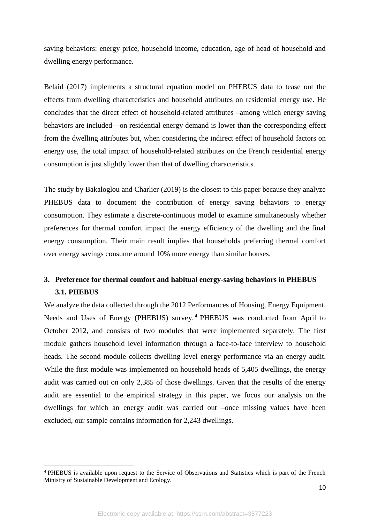saving behaviors: energy price, household income, education, age of head of household and dwelling energy performance.

Belaid (2017) implements a structural equation model on PHEBUS data to tease out the effects from dwelling characteristics and household attributes on residential energy use. He concludes that the direct effect of household-related attributes –among which energy saving behaviors are included—on residential energy demand is lower than the corresponding effect from the dwelling attributes but, when considering the indirect effect of household factors on energy use, the total impact of household-related attributes on the French residential energy consumption is just slightly lower than that of dwelling characteristics.

The study by Bakaloglou and Charlier (2019) is the closest to this paper because they analyze PHEBUS data to document the contribution of energy saving behaviors to energy consumption. They estimate a discrete-continuous model to examine simultaneously whether preferences for thermal comfort impact the energy efficiency of the dwelling and the final energy consumption. Their main result implies that households preferring thermal comfort over energy savings consume around 10% more energy than similar houses.

## **3. Preference for thermal comfort and habitual energy-saving behaviors in PHEBUS 3.1. PHEBUS**

We analyze the data collected through the 2012 Performances of Housing, Energy Equipment, Needs and Uses of Energy (PHEBUS) survey.<sup>4</sup> PHEBUS was conducted from April to October 2012, and consists of two modules that were implemented separately. The first module gathers household level information through a face-to-face interview to household heads. The second module collects dwelling level energy performance via an energy audit. While the first module was implemented on household heads of 5,405 dwellings, the energy audit was carried out on only 2,385 of those dwellings. Given that the results of the energy audit are essential to the empirical strategy in this paper, we focus our analysis on the dwellings for which an energy audit was carried out –once missing values have been excluded, our sample contains information for 2,243 dwellings.

 $\overline{a}$ 

<sup>4</sup> PHEBUS is available upon request to the Service of Observations and Statistics which is part of the French Ministry of Sustainable Development and Ecology.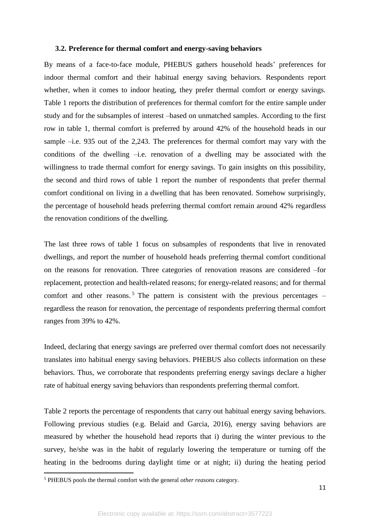#### **3.2. Preference for thermal comfort and energy-saving behaviors**

By means of a face-to-face module, PHEBUS gathers household heads' preferences for indoor thermal comfort and their habitual energy saving behaviors. Respondents report whether, when it comes to indoor heating, they prefer thermal comfort or energy savings. Table 1 reports the distribution of preferences for thermal comfort for the entire sample under study and for the subsamples of interest –based on unmatched samples. According to the first row in table 1, thermal comfort is preferred by around 42% of the household heads in our sample –i.e. 935 out of the 2,243. The preferences for thermal comfort may vary with the conditions of the dwelling –i.e. renovation of a dwelling may be associated with the willingness to trade thermal comfort for energy savings. To gain insights on this possibility, the second and third rows of table 1 report the number of respondents that prefer thermal comfort conditional on living in a dwelling that has been renovated. Somehow surprisingly, the percentage of household heads preferring thermal comfort remain around 42% regardless the renovation conditions of the dwelling.

The last three rows of table 1 focus on subsamples of respondents that live in renovated dwellings, and report the number of household heads preferring thermal comfort conditional on the reasons for renovation. Three categories of renovation reasons are considered –for replacement, protection and health-related reasons; for energy-related reasons; and for thermal comfort and other reasons.<sup>5</sup> The pattern is consistent with the previous percentages  $$ regardless the reason for renovation, the percentage of respondents preferring thermal comfort ranges from 39% to 42%.

Indeed, declaring that energy savings are preferred over thermal comfort does not necessarily translates into habitual energy saving behaviors. PHEBUS also collects information on these behaviors. Thus, we corroborate that respondents preferring energy savings declare a higher rate of habitual energy saving behaviors than respondents preferring thermal comfort.

Table 2 reports the percentage of respondents that carry out habitual energy saving behaviors. Following previous studies (e.g. Belaid and Garcia, 2016), energy saving behaviors are measured by whether the household head reports that i) during the winter previous to the survey, he/she was in the habit of regularly lowering the temperature or turning off the heating in the bedrooms during daylight time or at night; ii) during the heating period

 $\overline{\phantom{a}}$ 

<sup>5</sup> PHEBUS pools the thermal comfort with the general *other reasons* category.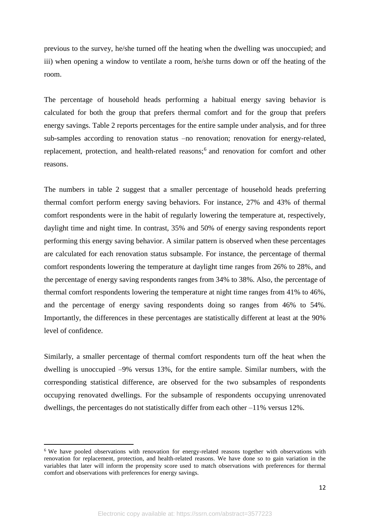previous to the survey, he/she turned off the heating when the dwelling was unoccupied; and iii) when opening a window to ventilate a room, he/she turns down or off the heating of the room.

The percentage of household heads performing a habitual energy saving behavior is calculated for both the group that prefers thermal comfort and for the group that prefers energy savings. Table 2 reports percentages for the entire sample under analysis, and for three sub-samples according to renovation status –no renovation; renovation for energy-related, replacement, protection, and health-related reasons;<sup>6</sup> and renovation for comfort and other reasons.

The numbers in table 2 suggest that a smaller percentage of household heads preferring thermal comfort perform energy saving behaviors. For instance, 27% and 43% of thermal comfort respondents were in the habit of regularly lowering the temperature at, respectively, daylight time and night time. In contrast, 35% and 50% of energy saving respondents report performing this energy saving behavior. A similar pattern is observed when these percentages are calculated for each renovation status subsample. For instance, the percentage of thermal comfort respondents lowering the temperature at daylight time ranges from 26% to 28%, and the percentage of energy saving respondents ranges from 34% to 38%. Also, the percentage of thermal comfort respondents lowering the temperature at night time ranges from 41% to 46%, and the percentage of energy saving respondents doing so ranges from 46% to 54%. Importantly, the differences in these percentages are statistically different at least at the 90% level of confidence.

Similarly, a smaller percentage of thermal comfort respondents turn off the heat when the dwelling is unoccupied –9% versus 13%, for the entire sample. Similar numbers, with the corresponding statistical difference, are observed for the two subsamples of respondents occupying renovated dwellings. For the subsample of respondents occupying unrenovated dwellings, the percentages do not statistically differ from each other –11% versus 12%.

 $\overline{\phantom{a}}$ 

<sup>&</sup>lt;sup>6</sup> We have pooled observations with renovation for energy-related reasons together with observations with renovation for replacement, protection, and health-related reasons. We have done so to gain variation in the variables that later will inform the propensity score used to match observations with preferences for thermal comfort and observations with preferences for energy savings.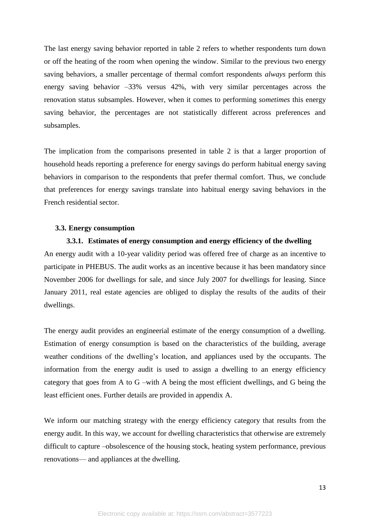The last energy saving behavior reported in table 2 refers to whether respondents turn down or off the heating of the room when opening the window. Similar to the previous two energy saving behaviors, a smaller percentage of thermal comfort respondents *always* perform this energy saving behavior –33% versus 42%, with very similar percentages across the renovation status subsamples. However, when it comes to performing *sometimes* this energy saving behavior, the percentages are not statistically different across preferences and subsamples.

The implication from the comparisons presented in table 2 is that a larger proportion of household heads reporting a preference for energy savings do perform habitual energy saving behaviors in comparison to the respondents that prefer thermal comfort. Thus, we conclude that preferences for energy savings translate into habitual energy saving behaviors in the French residential sector.

#### **3.3. Energy consumption**

#### **3.3.1. Estimates of energy consumption and energy efficiency of the dwelling**

An energy audit with a 10-year validity period was offered free of charge as an incentive to participate in PHEBUS. The audit works as an incentive because it has been mandatory since November 2006 for dwellings for sale, and since July 2007 for dwellings for leasing. Since January 2011, real estate agencies are obliged to display the results of the audits of their dwellings.

The energy audit provides an engineerial estimate of the energy consumption of a dwelling. Estimation of energy consumption is based on the characteristics of the building, average weather conditions of the dwelling's location, and appliances used by the occupants. The information from the energy audit is used to assign a dwelling to an energy efficiency category that goes from A to G –with A being the most efficient dwellings, and G being the least efficient ones. Further details are provided in appendix A.

We inform our matching strategy with the energy efficiency category that results from the energy audit. In this way, we account for dwelling characteristics that otherwise are extremely difficult to capture –obsolescence of the housing stock, heating system performance, previous renovations— and appliances at the dwelling.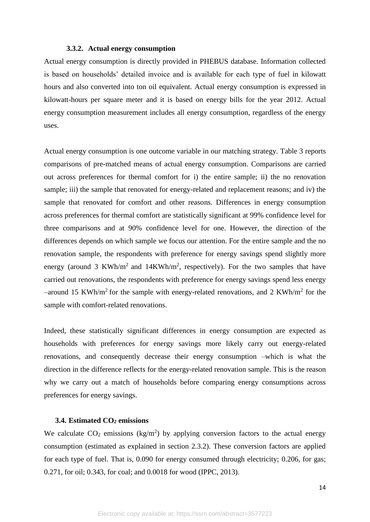#### **3.3.2. Actual energy consumption**

Actual energy consumption is directly provided in PHEBUS database. Information collected is based on households' detailed invoice and is available for each type of fuel in kilowatt hours and also converted into ton oil equivalent. Actual energy consumption is expressed in kilowatt-hours per square meter and it is based on energy bills for the year 2012. Actual energy consumption measurement includes all energy consumption, regardless of the energy uses.

Actual energy consumption is one outcome variable in our matching strategy. Table 3 reports comparisons of pre-matched means of actual energy consumption. Comparisons are carried out across preferences for thermal comfort for i) the entire sample; ii) the no renovation sample; iii) the sample that renovated for energy-related and replacement reasons; and iv) the sample that renovated for comfort and other reasons. Differences in energy consumption across preferences for thermal comfort are statistically significant at 99% confidence level for three comparisons and at 90% confidence level for one. However, the direction of the differences depends on which sample we focus our attention. For the entire sample and the no renovation sample, the respondents with preference for energy savings spend slightly more energy (around 3 KWh/m<sup>2</sup> and 14KWh/m<sup>2</sup>, respectively). For the two samples that have carried out renovations, the respondents with preference for energy savings spend less energy -around 15 KWh/m<sup>2</sup> for the sample with energy-related renovations, and 2 KWh/m<sup>2</sup> for the sample with comfort-related renovations.

Indeed, these statistically significant differences in energy consumption are expected as households with preferences for energy savings more likely carry out energy-related renovations, and consequently decrease their energy consumption –which is what the direction in the difference reflects for the energy-related renovation sample. This is the reason why we carry out a match of households before comparing energy consumptions across preferences for energy savings.

#### **3.4. Estimated CO<sup>2</sup> emissions**

We calculate  $CO_2$  emissions (kg/m<sup>2</sup>) by applying conversion factors to the actual energy consumption (estimated as explained in section 2.3.2). These conversion factors are applied for each type of fuel. That is, 0.090 for energy consumed through electricity; 0.206, for gas; 0.271, for oil; 0.343, for coal; and 0.0018 for wood (IPPC, 2013).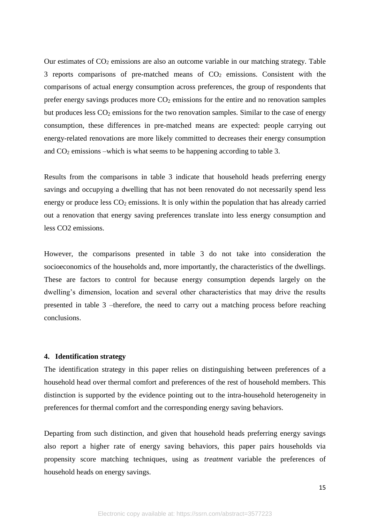Our estimates of  $CO<sub>2</sub>$  emissions are also an outcome variable in our matching strategy. Table 3 reports comparisons of pre-matched means of  $CO<sub>2</sub>$  emissions. Consistent with the comparisons of actual energy consumption across preferences, the group of respondents that prefer energy savings produces more  $CO<sub>2</sub>$  emissions for the entire and no renovation samples but produces less  $CO<sub>2</sub>$  emissions for the two renovation samples. Similar to the case of energy consumption, these differences in pre-matched means are expected: people carrying out energy-related renovations are more likely committed to decreases their energy consumption and CO<sup>2</sup> emissions –which is what seems to be happening according to table 3.

Results from the comparisons in table 3 indicate that household heads preferring energy savings and occupying a dwelling that has not been renovated do not necessarily spend less energy or produce less  $CO<sub>2</sub>$  emissions. It is only within the population that has already carried out a renovation that energy saving preferences translate into less energy consumption and less CO2 emissions.

However, the comparisons presented in table 3 do not take into consideration the socioeconomics of the households and, more importantly, the characteristics of the dwellings. These are factors to control for because energy consumption depends largely on the dwelling's dimension, location and several other characteristics that may drive the results presented in table 3 –therefore, the need to carry out a matching process before reaching conclusions.

#### **4. Identification strategy**

The identification strategy in this paper relies on distinguishing between preferences of a household head over thermal comfort and preferences of the rest of household members. This distinction is supported by the evidence pointing out to the intra-household heterogeneity in preferences for thermal comfort and the corresponding energy saving behaviors.

Departing from such distinction, and given that household heads preferring energy savings also report a higher rate of energy saving behaviors, this paper pairs households via propensity score matching techniques, using as *treatment* variable the preferences of household heads on energy savings.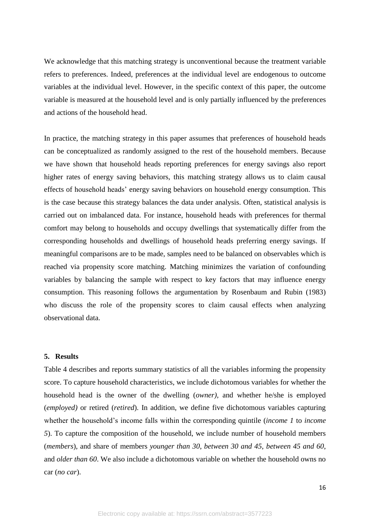We acknowledge that this matching strategy is unconventional because the treatment variable refers to preferences. Indeed, preferences at the individual level are endogenous to outcome variables at the individual level. However, in the specific context of this paper, the outcome variable is measured at the household level and is only partially influenced by the preferences and actions of the household head.

In practice, the matching strategy in this paper assumes that preferences of household heads can be conceptualized as randomly assigned to the rest of the household members. Because we have shown that household heads reporting preferences for energy savings also report higher rates of energy saving behaviors, this matching strategy allows us to claim causal effects of household heads' energy saving behaviors on household energy consumption. This is the case because this strategy balances the data under analysis. Often, statistical analysis is carried out on imbalanced data. For instance, household heads with preferences for thermal comfort may belong to households and occupy dwellings that systematically differ from the corresponding households and dwellings of household heads preferring energy savings. If meaningful comparisons are to be made, samples need to be balanced on observables which is reached via propensity score matching. Matching minimizes the variation of confounding variables by balancing the sample with respect to key factors that may influence energy consumption. This reasoning follows the argumentation by Rosenbaum and Rubin (1983) who discuss the role of the propensity scores to claim causal effects when analyzing observational data.

#### **5. Results**

Table 4 describes and reports summary statistics of all the variables informing the propensity score. To capture household characteristics, we include dichotomous variables for whether the household head is the owner of the dwelling (*owner),* and whether he/she is employed (*employed)* or retired (*retired*). In addition, we define five dichotomous variables capturing whether the household's income falls within the corresponding quintile (*income 1* to *income 5*). To capture the composition of the household, we include number of household members (*members*), and share of members *younger than 30*, *between 30 and 45*, *between 45 and 60*, and *older than 60*. We also include a dichotomous variable on whether the household owns no car (*no car*).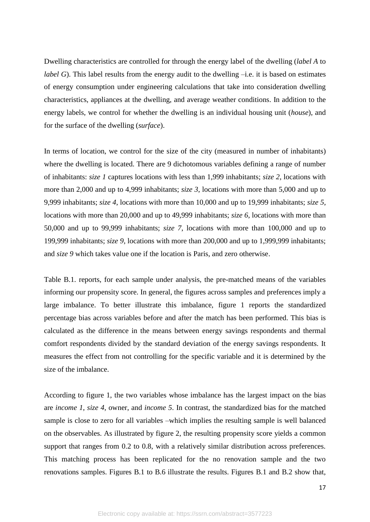Dwelling characteristics are controlled for through the energy label of the dwelling (*label A* to *label G*). This label results from the energy audit to the dwelling –i.e. it is based on estimates of energy consumption under engineering calculations that take into consideration dwelling characteristics, appliances at the dwelling, and average weather conditions. In addition to the energy labels, we control for whether the dwelling is an individual housing unit (*house*), and for the surface of the dwelling (*surface*).

In terms of location, we control for the size of the city (measured in number of inhabitants) where the dwelling is located. There are 9 dichotomous variables defining a range of number of inhabitants: *size 1* captures locations with less than 1,999 inhabitants; *size 2*, locations with more than 2,000 and up to 4,999 inhabitants; *size 3*, locations with more than 5,000 and up to 9,999 inhabitants; *size 4*, locations with more than 10,000 and up to 19,999 inhabitants; *size 5*, locations with more than 20,000 and up to 49,999 inhabitants; *size 6*, locations with more than 50,000 and up to 99,999 inhabitants; *size 7*, locations with more than 100,000 and up to 199,999 inhabitants; *size 9*, locations with more than 200,000 and up to 1,999,999 inhabitants; and *size 9* which takes value one if the location is Paris, and zero otherwise.

Table B.1. reports, for each sample under analysis, the pre-matched means of the variables informing our propensity score. In general, the figures across samples and preferences imply a large imbalance. To better illustrate this imbalance, figure 1 reports the standardized percentage bias across variables before and after the match has been performed. This bias is calculated as the difference in the means between energy savings respondents and thermal comfort respondents divided by the standard deviation of the energy savings respondents. It measures the effect from not controlling for the specific variable and it is determined by the size of the imbalance.

According to figure 1, the two variables whose imbalance has the largest impact on the bias are *income 1*, *size 4*, owner, and *income 5*. In contrast, the standardized bias for the matched sample is close to zero for all variables –which implies the resulting sample is well balanced on the observables. As illustrated by figure 2, the resulting propensity score yields a common support that ranges from 0.2 to 0.8, with a relatively similar distribution across preferences. This matching process has been replicated for the no renovation sample and the two renovations samples. Figures B.1 to B.6 illustrate the results. Figures B.1 and B.2 show that,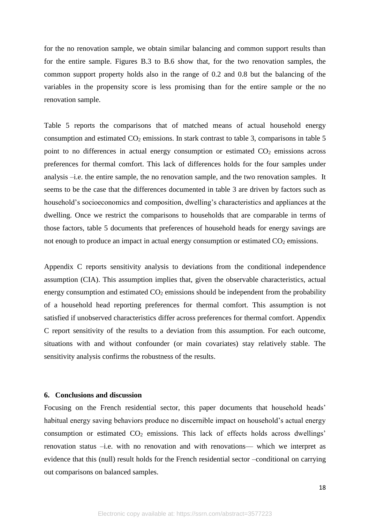for the no renovation sample, we obtain similar balancing and common support results than for the entire sample. Figures B.3 to B.6 show that, for the two renovation samples, the common support property holds also in the range of 0.2 and 0.8 but the balancing of the variables in the propensity score is less promising than for the entire sample or the no renovation sample.

Table 5 reports the comparisons that of matched means of actual household energy consumption and estimated  $CO<sub>2</sub>$  emissions. In stark contrast to table 3, comparisons in table 5 point to no differences in actual energy consumption or estimated  $CO<sub>2</sub>$  emissions across preferences for thermal comfort. This lack of differences holds for the four samples under analysis –i.e. the entire sample, the no renovation sample, and the two renovation samples. It seems to be the case that the differences documented in table 3 are driven by factors such as household's socioeconomics and composition, dwelling's characteristics and appliances at the dwelling. Once we restrict the comparisons to households that are comparable in terms of those factors, table 5 documents that preferences of household heads for energy savings are not enough to produce an impact in actual energy consumption or estimated  $CO<sub>2</sub>$  emissions.

Appendix C reports sensitivity analysis to deviations from the conditional independence assumption (CIA). This assumption implies that, given the observable characteristics, actual energy consumption and estimated  $CO<sub>2</sub>$  emissions should be independent from the probability of a household head reporting preferences for thermal comfort. This assumption is not satisfied if unobserved characteristics differ across preferences for thermal comfort. Appendix C report sensitivity of the results to a deviation from this assumption. For each outcome, situations with and without confounder (or main covariates) stay relatively stable. The sensitivity analysis confirms the robustness of the results.

#### **6. Conclusions and discussion**

Focusing on the French residential sector, this paper documents that household heads' habitual energy saving behaviors produce no discernible impact on household's actual energy consumption or estimated  $CO<sub>2</sub>$  emissions. This lack of effects holds across dwellings' renovation status –i.e. with no renovation and with renovations— which we interpret as evidence that this (null) result holds for the French residential sector –conditional on carrying out comparisons on balanced samples.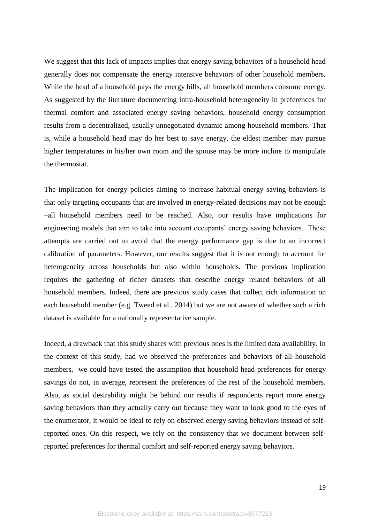We suggest that this lack of impacts implies that energy saving behaviors of a household head generally does not compensate the energy intensive behaviors of other household members. While the head of a household pays the energy bills, all household members consume energy. As suggested by the literature documenting intra-household heterogeneity in preferences for thermal comfort and associated energy saving behaviors, household energy consumption results from a decentralized, usually unnegotiated dynamic among household members. That is, while a household head may do her best to save energy, the eldest member may pursue higher temperatures in his/her own room and the spouse may be more incline to manipulate the thermostat.

The implication for energy policies aiming to increase habitual energy saving behaviors is that only targeting occupants that are involved in energy-related decisions may not be enough –all household members need to be reached. Also, our results have implications for engineering models that aim to take into account occupants' energy saving behaviors. These attempts are carried out to avoid that the energy performance gap is due to an incorrect calibration of parameters. However, our results suggest that it is not enough to account for heterogeneity across households but also within households. The previous implication requires the gathering of richer datasets that describe energy related behaviors of all household members. Indeed, there are previous study cases that collect rich information on each household member (e.g. Tweed et al., 2014) but we are not aware of whether such a rich dataset is available for a nationally representative sample.

Indeed, a drawback that this study shares with previous ones is the limited data availability. In the context of this study, had we observed the preferences and behaviors of all household members, we could have tested the assumption that household head preferences for energy savings do not, in average, represent the preferences of the rest of the household members. Also, as social desirability might be behind our results if respondents report more energy saving behaviors than they actually carry out because they want to look good to the eyes of the enumerator, it would be ideal to rely on observed energy saving behaviors instead of selfreported ones. On this respect, we rely on the consistency that we document between selfreported preferences for thermal comfort and self-reported energy saving behaviors.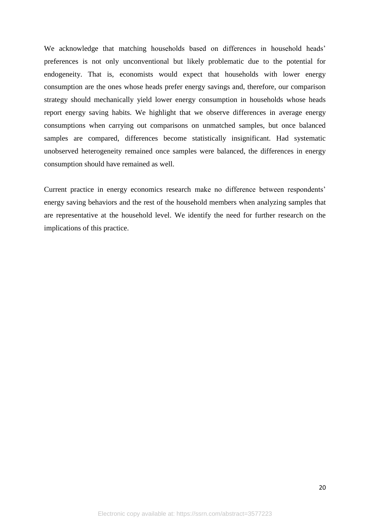We acknowledge that matching households based on differences in household heads' preferences is not only unconventional but likely problematic due to the potential for endogeneity. That is, economists would expect that households with lower energy consumption are the ones whose heads prefer energy savings and, therefore, our comparison strategy should mechanically yield lower energy consumption in households whose heads report energy saving habits. We highlight that we observe differences in average energy consumptions when carrying out comparisons on unmatched samples, but once balanced samples are compared, differences become statistically insignificant. Had systematic unobserved heterogeneity remained once samples were balanced, the differences in energy consumption should have remained as well.

Current practice in energy economics research make no difference between respondents' energy saving behaviors and the rest of the household members when analyzing samples that are representative at the household level. We identify the need for further research on the implications of this practice.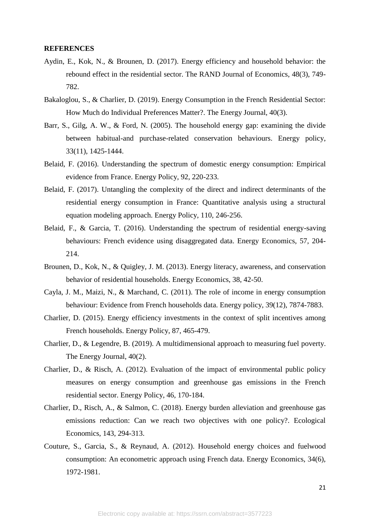#### **REFERENCES**

- Aydin, E., Kok, N., & Brounen, D. (2017). Energy efficiency and household behavior: the rebound effect in the residential sector. The RAND Journal of Economics, 48(3), 749- 782.
- Bakaloglou, S., & Charlier, D. (2019). Energy Consumption in the French Residential Sector: How Much do Individual Preferences Matter?. The Energy Journal, 40(3).
- Barr, S., Gilg, A. W., & Ford, N. (2005). The household energy gap: examining the divide between habitual-and purchase-related conservation behaviours. Energy policy, 33(11), 1425-1444.
- Belaid, F. (2016). Understanding the spectrum of domestic energy consumption: Empirical evidence from France. Energy Policy, 92, 220-233.
- Belaid, F. (2017). Untangling the complexity of the direct and indirect determinants of the residential energy consumption in France: Quantitative analysis using a structural equation modeling approach. Energy Policy, 110, 246-256.
- Belaid, F., & Garcia, T. (2016). Understanding the spectrum of residential energy-saving behaviours: French evidence using disaggregated data. Energy Economics, 57, 204- 214.
- Brounen, D., Kok, N., & Quigley, J. M. (2013). Energy literacy, awareness, and conservation behavior of residential households. Energy Economics, 38, 42-50.
- Cayla, J. M., Maizi, N., & Marchand, C. (2011). The role of income in energy consumption behaviour: Evidence from French households data. Energy policy, 39(12), 7874-7883.
- Charlier, D. (2015). Energy efficiency investments in the context of split incentives among French households. Energy Policy, 87, 465-479.
- Charlier, D., & Legendre, B. (2019). A multidimensional approach to measuring fuel poverty. The Energy Journal, 40(2).
- Charlier, D., & Risch, A. (2012). Evaluation of the impact of environmental public policy measures on energy consumption and greenhouse gas emissions in the French residential sector. Energy Policy, 46, 170-184.
- Charlier, D., Risch, A., & Salmon, C. (2018). Energy burden alleviation and greenhouse gas emissions reduction: Can we reach two objectives with one policy?. Ecological Economics, 143, 294-313.
- Couture, S., Garcia, S., & Reynaud, A. (2012). Household energy choices and fuelwood consumption: An econometric approach using French data. Energy Economics, 34(6), 1972-1981.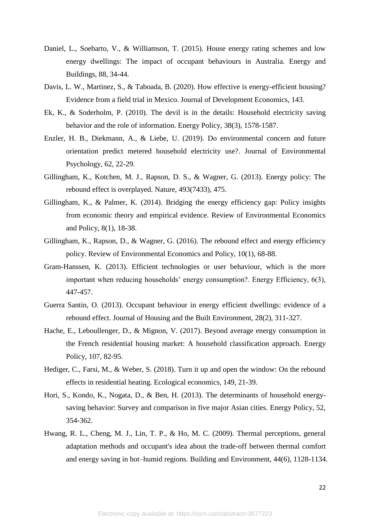- Daniel, L., Soebarto, V., & Williamson, T. (2015). House energy rating schemes and low energy dwellings: The impact of occupant behaviours in Australia. Energy and Buildings, 88, 34-44.
- Davis, L. W., Martinez, S., & Taboada, B. (2020). How effective is energy-efficient housing? Evidence from a field trial in Mexico. Journal of Development Economics, 143.
- Ek, K., & Soderholm, P. (2010). The devil is in the details: Household electricity saving behavior and the role of information. Energy Policy, 38(3), 1578-1587.
- Enzler, H. B., Diekmann, A., & Liebe, U. (2019). Do environmental concern and future orientation predict metered household electricity use?. Journal of Environmental Psychology, 62, 22-29.
- Gillingham, K., Kotchen, M. J., Rapson, D. S., & Wagner, G. (2013). Energy policy: The rebound effect is overplayed. Nature, 493(7433), 475.
- Gillingham, K., & Palmer, K. (2014). Bridging the energy efficiency gap: Policy insights from economic theory and empirical evidence. Review of Environmental Economics and Policy, 8(1), 18-38.
- Gillingham, K., Rapson, D., & Wagner, G. (2016). The rebound effect and energy efficiency policy. Review of Environmental Economics and Policy, 10(1), 68-88.
- Gram-Hanssen, K. (2013). Efficient technologies or user behaviour, which is the more important when reducing households' energy consumption?. Energy Efficiency, 6(3), 447-457.
- Guerra Santin, O. (2013). Occupant behaviour in energy efficient dwellings: evidence of a rebound effect. Journal of Housing and the Built Environment, 28(2), 311-327.
- Hache, E., Leboullenger, D., & Mignon, V. (2017). Beyond average energy consumption in the French residential housing market: A household classification approach. Energy Policy, 107, 82-95.
- Hediger, C., Farsi, M., & Weber, S. (2018). Turn it up and open the window: On the rebound effects in residential heating. Ecological economics, 149, 21-39.
- Hori, S., Kondo, K., Nogata, D., & Ben, H. (2013). The determinants of household energysaving behavior: Survey and comparison in five major Asian cities. Energy Policy, 52, 354-362.
- Hwang, R. L., Cheng, M. J., Lin, T. P., & Ho, M. C. (2009). Thermal perceptions, general adaptation methods and occupant's idea about the trade-off between thermal comfort and energy saving in hot–humid regions. Building and Environment, 44(6), 1128-1134.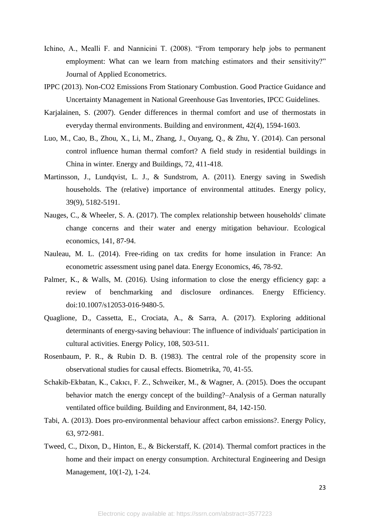- Ichino, A., Mealli F. and Nannicini T. (2008). "From temporary help jobs to permanent employment: What can we learn from matching estimators and their sensitivity?" Journal of Applied Econometrics.
- IPPC (2013). Non-CO2 Emissions From Stationary Combustion. Good Practice Guidance and Uncertainty Management in National Greenhouse Gas Inventories, IPCC Guidelines.
- Karjalainen, S. (2007). Gender differences in thermal comfort and use of thermostats in everyday thermal environments. Building and environment, 42(4), 1594-1603.
- Luo, M., Cao, B., Zhou, X., Li, M., Zhang, J., Ouyang, Q., & Zhu, Y. (2014). Can personal control influence human thermal comfort? A field study in residential buildings in China in winter. Energy and Buildings, 72, 411-418.
- Martinsson, J., Lundqvist, L. J., & Sundstrom, A. (2011). Energy saving in Swedish households. The (relative) importance of environmental attitudes. Energy policy, 39(9), 5182-5191.
- Nauges, C., & Wheeler, S. A. (2017). The complex relationship between households' climate change concerns and their water and energy mitigation behaviour. Ecological economics, 141, 87-94.
- Nauleau, M. L. (2014). Free-riding on tax credits for home insulation in France: An econometric assessment using panel data. Energy Economics, 46, 78-92.
- Palmer, K., & Walls, M. (2016). Using information to close the energy efficiency gap: a review of benchmarking and disclosure ordinances. Energy Efficiency. doi:10.1007/s12053-016-9480-5.
- Quaglione, D., Cassetta, E., Crociata, A., & Sarra, A. (2017). Exploring additional determinants of energy-saving behaviour: The influence of individuals' participation in cultural activities. Energy Policy, 108, 503-511.
- Rosenbaum, P. R., & Rubin D. B. (1983). The central role of the propensity score in observational studies for causal effects. Biometrika, 70, 41-55.
- Schakib-Ekbatan, K., Cakıcı, F. Z., Schweiker, M., & Wagner, A. (2015). Does the occupant behavior match the energy concept of the building?–Analysis of a German naturally ventilated office building. Building and Environment, 84, 142-150.
- Tabi, A. (2013). Does pro-environmental behaviour affect carbon emissions?. Energy Policy, 63, 972-981.
- Tweed, C., Dixon, D., Hinton, E., & Bickerstaff, K. (2014). Thermal comfort practices in the home and their impact on energy consumption. Architectural Engineering and Design Management, 10(1-2), 1-24.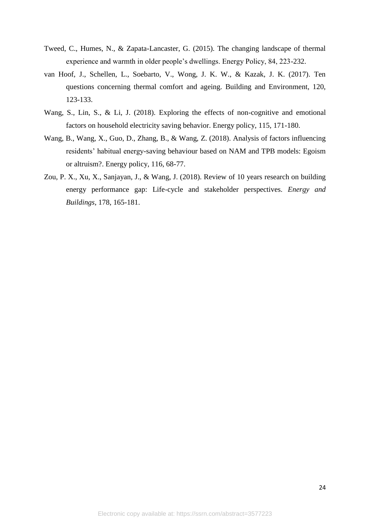- Tweed, C., Humes, N., & Zapata-Lancaster, G. (2015). The changing landscape of thermal experience and warmth in older people's dwellings. Energy Policy, 84, 223-232.
- van Hoof, J., Schellen, L., Soebarto, V., Wong, J. K. W., & Kazak, J. K. (2017). Ten questions concerning thermal comfort and ageing. Building and Environment, 120, 123-133.
- Wang, S., Lin, S., & Li, J. (2018). Exploring the effects of non-cognitive and emotional factors on household electricity saving behavior. Energy policy, 115, 171-180.
- Wang, B., Wang, X., Guo, D., Zhang, B., & Wang, Z. (2018). Analysis of factors influencing residents' habitual energy-saving behaviour based on NAM and TPB models: Egoism or altruism?. Energy policy, 116, 68-77.
- Zou, P. X., Xu, X., Sanjayan, J., & Wang, J. (2018). Review of 10 years research on building energy performance gap: Life-cycle and stakeholder perspectives. *Energy and Buildings*, 178, 165-181.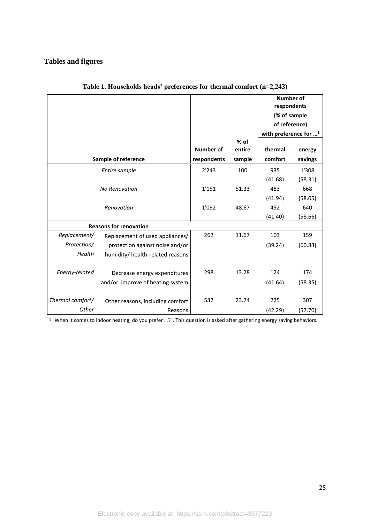## **Tables and figures**

|                  |                                  |                  |        | <b>Number of</b><br>respondents  |         |  |
|------------------|----------------------------------|------------------|--------|----------------------------------|---------|--|
|                  |                                  |                  |        | (% of sample                     |         |  |
|                  |                                  |                  |        | of reference)                    |         |  |
|                  |                                  |                  |        | with preference for <sup>1</sup> |         |  |
|                  |                                  |                  | $%$ of |                                  |         |  |
|                  |                                  | <b>Number of</b> | entire | thermal                          | energy  |  |
|                  | Sample of reference              | respondents      | sample | comfort                          | savings |  |
|                  | Entire sample                    | 2'243            | 100    | 935                              | 1'308   |  |
|                  |                                  |                  |        | (41.68)                          | (58.31) |  |
|                  | <b>No Renovation</b>             | 1'151            | 51.33  | 483                              | 668     |  |
|                  |                                  |                  |        | (41.94)                          | (58.05) |  |
|                  | Renovation                       | 1'092            | 48.67  | 452                              | 640     |  |
|                  |                                  |                  |        | (41.40)                          | (58.66) |  |
|                  | <b>Reasons for renovation</b>    |                  |        |                                  |         |  |
| Replacement/     | Replacement of used appliances/  | 262              | 11.67  | 103                              | 159     |  |
| Protection/      | protection against noise and/or  |                  |        | (39.24)                          | (60.83) |  |
| Health           | humidity/ health-related reasons |                  |        |                                  |         |  |
|                  |                                  |                  |        |                                  |         |  |
| Energy-related   | Decrease energy expenditures     | 298              | 13.28  | 124                              | 174     |  |
|                  | and/or improve of heating system |                  |        | (41.64)                          | (58.35) |  |
|                  |                                  |                  |        |                                  |         |  |
| Thermal comfort/ | Other reasons, including comfort | 532              | 23.74  | 225                              | 307     |  |
| Other            | Reasons                          |                  |        | (42.29)                          | (57.70) |  |

**Table 1. Households heads' preferences for thermal comfort (n=2,243)**

<sup>1</sup> "When it comes to indoor heating, do you prefer …?". This question is asked after gathering energy saving behaviors.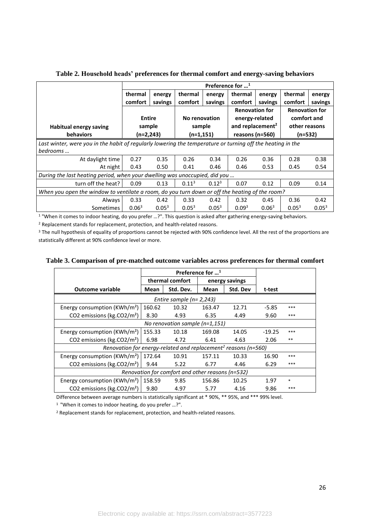|                                                                                                            | Preference for $\mathbf{u}^1$ |            |                   |            |                              |                   |                       |            |  |
|------------------------------------------------------------------------------------------------------------|-------------------------------|------------|-------------------|------------|------------------------------|-------------------|-----------------------|------------|--|
|                                                                                                            | thermal                       | energy     | thermal           | energy     | thermal                      | energy            | thermal               | energy     |  |
|                                                                                                            | comfort                       | savings    | comfort           | savings    | comfort                      | savings           | comfort               | savings    |  |
|                                                                                                            |                               |            |                   |            | <b>Renovation for</b>        |                   | <b>Renovation for</b> |            |  |
|                                                                                                            | <b>Entire</b>                 |            | No renovation     |            | energy-related               |                   | comfort and           |            |  |
| Habitual energy saving                                                                                     | sample                        |            | sample            |            | and replacement <sup>2</sup> |                   | other reasons         |            |  |
| <b>behaviors</b>                                                                                           | $(n=2,243)$                   |            | (n=1,151)         |            | reasons (n=560)              |                   | $(n=532)$             |            |  |
| Last winter, were you in the habit of regularly lowering the temperature or turning off the heating in the |                               |            |                   |            |                              |                   |                       |            |  |
| bedrooms                                                                                                   |                               |            |                   |            |                              |                   |                       |            |  |
| At daylight time                                                                                           | 0.27                          | 0.35       | 0.26              | 0.34       | 0.26                         | 0.36              | 0.28                  | 0.38       |  |
| At night                                                                                                   | 0.43                          | 0.50       | 0.41              | 0.46       | 0.46                         | 0.53              | 0.45                  | 0.54       |  |
| During the last heating period, when your dwelling was unoccupied, did you                                 |                               |            |                   |            |                              |                   |                       |            |  |
| turn off the heat?                                                                                         | 0.09                          | 0.13       | $0.11^{3}$        | $0.12^{3}$ | 0.07                         | 0.12              | 0.09                  | 0.14       |  |
| When you open the window to ventilate a room, do you turn down or off the heating of the room?             |                               |            |                   |            |                              |                   |                       |            |  |
| Always                                                                                                     | 0.33                          | 0.42       | 0.33              | 0.42       | 0.32                         | 0.45              | 0.36                  | 0.42       |  |
| Sometimes                                                                                                  | 0.06 <sup>3</sup>             | $0.05^{3}$ | 0.05 <sup>3</sup> | $0.05^{3}$ | 0.09 <sup>3</sup>            | 0.06 <sup>3</sup> | $0.05^{3}$            | $0.05^{3}$ |  |

**Table 2. Household heads' preferences for thermal comfort and energy-saving behaviors**

<sup>1</sup> "When it comes to indoor heating, do you prefer …?". This question is asked after gathering energy-saving behaviors.

<sup>2</sup> Replacement stands for replacement, protection, and health-related reasons.

<sup>3</sup> The null hypothesis of equality of proportions cannot be rejected with 90% confidence level. All the rest of the proportions are statistically different at 90% confidence level or more.

|                                                                            |                             | Preference for $\dots$ <sup>1</sup> |        |                |          |        |  |  |  |
|----------------------------------------------------------------------------|-----------------------------|-------------------------------------|--------|----------------|----------|--------|--|--|--|
|                                                                            | thermal comfort             |                                     |        | energy savings |          |        |  |  |  |
| <b>Outcome variable</b>                                                    | Mean                        | Std. Dev.                           |        | Std. Dev       | t-test   |        |  |  |  |
|                                                                            | Entire sample ( $n=2,243$ ) |                                     |        |                |          |        |  |  |  |
| Energy consumption (KWh/m <sup>2</sup> )                                   | 160.62                      | 10.32                               | 163.47 | 12.71          | $-5.85$  | ***    |  |  |  |
| CO2 emissions (kg.CO2/m <sup>2</sup> )                                     | 8.30                        | 4.93                                | 6.35   | 4.49           | 9.60     | ***    |  |  |  |
| No renovation sample $(n=1,151)$                                           |                             |                                     |        |                |          |        |  |  |  |
| Energy consumption ( $KWh/m^2$ )                                           | 155.33                      | 10.18                               | 169.08 | 14.05          | $-19.25$ | ***    |  |  |  |
| CO2 emissions (kg.CO2/m <sup>2</sup> )                                     | 6.98                        | 4.72                                | 6.41   | 4.63           | 2.06     | $***$  |  |  |  |
| Renovation for energy-related and replacement <sup>2</sup> reasons (n=560) |                             |                                     |        |                |          |        |  |  |  |
| Energy consumption (KWh/m <sup>2</sup> )                                   | 172.64                      | 10.91                               | 157.11 | 10.33          | 16.90    | ***    |  |  |  |
| CO2 emissions (kg.CO2/m <sup>2</sup> )                                     | 9.44                        | 5.22                                | 6.77   | 4.46           | 6.29     | ***    |  |  |  |
| Renovation for comfort and other reasons (n=532)                           |                             |                                     |        |                |          |        |  |  |  |
| Energy consumption (KWh/m <sup>2</sup> )                                   | 158.59                      | 9.85                                | 156.86 | 10.25          | 1.97     | $\ast$ |  |  |  |
| CO2 emissions (kg.CO2/m <sup>2</sup> )                                     | 9.80                        | 4.97                                | 5.77   | 4.16           | 9.86     | ***    |  |  |  |
|                                                                            |                             |                                     |        |                |          |        |  |  |  |

#### **Table 3. Comparison of pre-matched outcome variables across preferences for thermal comfort**

Difference between average numbers is statistically significant at \* 90%, \*\* 95%, and \*\*\* 99% level.

<sup>1</sup>"When it comes to indoor heating, do you prefer …?".

<sup>2</sup> Replacement stands for replacement, protection, and health-related reasons.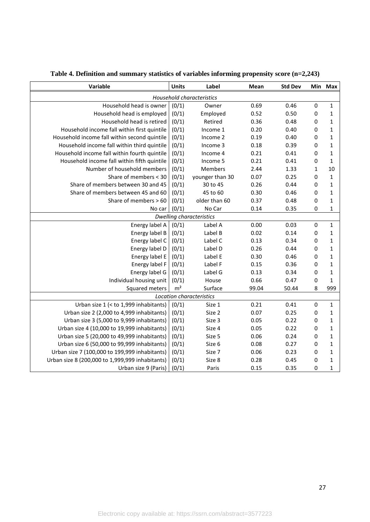| Variable                                        | <b>Units</b>   | Label                            | Mean  | <b>Std Dev</b> |              | Min Max      |
|-------------------------------------------------|----------------|----------------------------------|-------|----------------|--------------|--------------|
|                                                 |                | <b>Household characteristics</b> |       |                |              |              |
| Household head is owner                         | (0/1)          | Owner                            | 0.69  | 0.46           | $\pmb{0}$    | $\mathbf 1$  |
| Household head is employed                      | (0/1)          | Employed                         | 0.52  | 0.50           | $\pmb{0}$    | $\mathbf{1}$ |
| Household head is retired                       | (0/1)          | Retired                          | 0.36  | 0.48           | $\pmb{0}$    | $\mathbf{1}$ |
| Household income fall within first quintile     | (0/1)          | Income 1                         | 0.20  | 0.40           | $\pmb{0}$    | $\mathbf{1}$ |
| Household income fall within second quintile    | (0/1)          | Income 2                         | 0.19  | 0.40           | $\pmb{0}$    | $\mathbf{1}$ |
| Household income fall within third quintile     | (0/1)          | Income 3                         | 0.18  | 0.39           | $\pmb{0}$    | $\mathbf{1}$ |
| Household income fall within fourth quintile    | (0/1)          | Income 4                         | 0.21  | 0.41           | $\pmb{0}$    | $\mathbf{1}$ |
| Household income fall within fifth quintile     | (0/1)          | Income 5                         | 0.21  | 0.41           | $\pmb{0}$    | $\mathbf{1}$ |
| Number of household members                     | (0/1)          | Members                          | 2.44  | 1.33           | $\mathbf{1}$ | 10           |
| Share of members < 30                           | (0/1)          | younger than 30                  | 0.07  | 0.25           | $\pmb{0}$    | $\mathbf{1}$ |
| Share of members between 30 and 45              | (0/1)          | 30 to 45                         | 0.26  | 0.44           | $\pmb{0}$    | $\mathbf{1}$ |
| Share of members between 45 and 60              | (0/1)          | 45 to 60                         | 0.30  | 0.46           | $\pmb{0}$    | $\mathbf{1}$ |
| Share of members > 60                           | (0/1)          | older than 60                    | 0.37  | 0.48           | $\pmb{0}$    | $\mathbf{1}$ |
| No car                                          | (0/1)          | No Car                           | 0.14  | 0.35           | $\mathbf 0$  | 1            |
|                                                 |                | <b>Dwelling characteristics</b>  |       |                |              |              |
| Energy label A                                  | (0/1)          | Label A                          | 0.00  | 0.03           | $\pmb{0}$    | $\mathbf{1}$ |
| Energy label B                                  | (0/1)          | Label B                          | 0.02  | 0.14           | 0            | $\mathbf{1}$ |
| Energy label C                                  | (0/1)          | Label C                          | 0.13  | 0.34           | 0            | $\mathbf 1$  |
| Energy label D                                  | (0/1)          | Label D                          | 0.26  | 0.44           | 0            | $\mathbf 1$  |
| Energy label E                                  | (0/1)          | Label E                          | 0.30  | 0.46           | 0            | $\mathbf 1$  |
| Energy label F                                  | (0/1)          | Label F                          | 0.15  | 0.36           | 0            | 1            |
| Energy label G                                  | (0/1)          | Label G                          | 0.13  | 0.34           | 0            | 1            |
| Individual housing unit                         | (0/1)          | House                            | 0.66  | 0.47           | 0            | $\mathbf{1}$ |
| Squared meters                                  | m <sup>2</sup> | Surface                          | 99.04 | 50.44          | 8            | 999          |
|                                                 |                | Location characteristics         |       |                |              |              |
| Urban size 1 (< to 1,999 inhabitants)           | (0/1)          | Size 1                           | 0.21  | 0.41           | 0            | $\mathbf 1$  |
| Urban size 2 (2,000 to 4,999 inhabitants)       | (0/1)          | Size 2                           | 0.07  | 0.25           | 0            | 1            |
| Urban size 3 (5,000 to 9,999 inhabitants)       | (0/1)          | Size 3                           | 0.05  | 0.22           | 0            | 1            |
| Urban size 4 (10,000 to 19,999 inhabitants)     | (0/1)          | Size 4                           | 0.05  | 0.22           | 0            | 1            |
| Urban size 5 (20,000 to 49,999 inhabitants)     | (0/1)          | Size 5                           | 0.06  | 0.24           | 0            | 1            |
| Urban size 6 (50,000 to 99,999 inhabitants)     | (0/1)          | Size 6                           | 0.08  | 0.27           | 0            | $\mathbf 1$  |
| Urban size 7 (100,000 to 199,999 inhabitants)   | (0/1)          | Size 7                           | 0.06  | 0.23           | 0            | $\mathbf 1$  |
| Urban size 8 (200,000 to 1,999,999 inhabitants) | (0/1)          | Size 8                           | 0.28  | 0.45           | 0            | $\mathbf{1}$ |
| Urban size 9 (Paris)                            | (0/1)          | Paris                            | 0.15  | 0.35           | 0            | 1            |

**Table 4. Definition and summary statistics of variables informing propensity score (n=2,243)**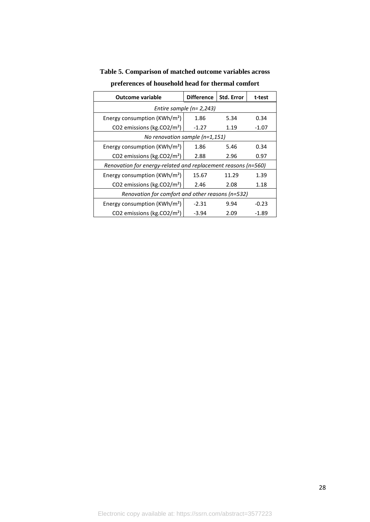| <b>Outcome variable</b>                          | <b>Difference</b>                                             | Std. Error | t-test  |  |  |  |  |
|--------------------------------------------------|---------------------------------------------------------------|------------|---------|--|--|--|--|
| Entire sample ( $n=2,243$ )                      |                                                               |            |         |  |  |  |  |
| Energy consumption ( $KWh/m^2$ )                 | 1.86                                                          | 5.34       | 0.34    |  |  |  |  |
| CO2 emissions (kg.CO2/m <sup>2</sup> )           | $-1.27$                                                       | 1.19       | -1.07   |  |  |  |  |
| No renovation sample $(n=1,151)$                 |                                                               |            |         |  |  |  |  |
| Energy consumption ( $KWh/m^2$ )                 | 1.86                                                          | 5.46       | 0.34    |  |  |  |  |
| CO2 emissions (kg.CO2/m <sup>2</sup> )           | 2.88                                                          | 2.96       | 0.97    |  |  |  |  |
|                                                  | Renovation for energy-related and replacement reasons (n=560) |            |         |  |  |  |  |
| Energy consumption (KWh/m <sup>2</sup> )         | 15.67                                                         | 11.29      | 1.39    |  |  |  |  |
| CO2 emissions (kg.CO2/m <sup>2</sup> )           | 2.46                                                          | 2.08       | 1.18    |  |  |  |  |
| Renovation for comfort and other reasons (n=532) |                                                               |            |         |  |  |  |  |
| Energy consumption ( $KWh/m^2$ )                 | $-2.31$                                                       | 9.94       | $-0.23$ |  |  |  |  |
| CO2 emissions (kg.CO2/m <sup>2</sup> )           | -3.94                                                         | 2.09       | -1.89   |  |  |  |  |

**Table 5. Comparison of matched outcome variables across** 

**preferences of household head for thermal comfort**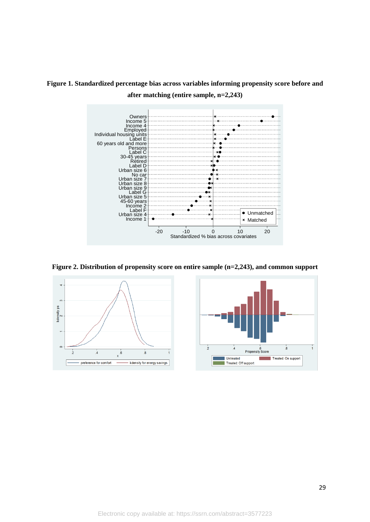

**Figure 1. Standardized percentage bias across variables informing propensity score before and after matching (entire sample, n=2,243)**

**Figure 2. Distribution of propensity score on entire sample (n=2,243), and common support**



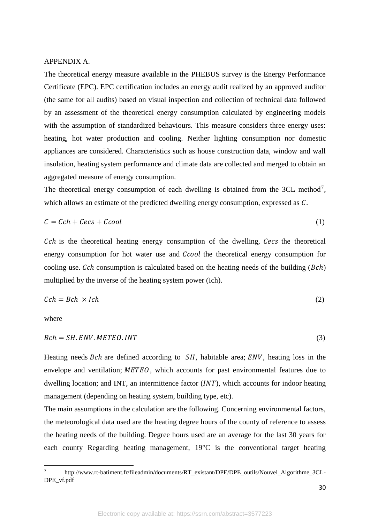#### APPENDIX A.

The theoretical energy measure available in the PHEBUS survey is the Energy Performance Certificate (EPC). EPC certification includes an energy audit realized by an approved auditor (the same for all audits) based on visual inspection and collection of technical data followed by an assessment of the theoretical energy consumption calculated by engineering models with the assumption of standardized behaviours. This measure considers three energy uses: heating, hot water production and cooling. Neither lighting consumption nor domestic appliances are considered. Characteristics such as house construction data, window and wall insulation, heating system performance and climate data are collected and merged to obtain an aggregated measure of energy consumption.

The theoretical energy consumption of each dwelling is obtained from the  $3CL$  method<sup>7</sup>, which allows an estimate of the predicted dwelling energy consumption, expressed as  $C$ .

$$
C = Cch + Cecs + Ccool
$$
 (1)

 $Cch$  is the theoretical heating energy consumption of the dwelling,  $Cecs$  the theoretical energy consumption for hot water use and *Ccool* the theoretical energy consumption for cooling use.  $Cch$  consumption is calculated based on the heating needs of the building  $(Bch)$ multiplied by the inverse of the heating system power (Ich).

$$
Cch = Bch \times Ich \tag{2}
$$

where

 $\overline{a}$ 

$$
Bch = SH. ENV. METEO. INT
$$
\n(3)

Heating needs  $Bch$  are defined according to  $SH$ , habitable area;  $ENV$ , heating loss in the envelope and ventilation;  $METEO$ , which accounts for past environmental features due to dwelling location; and INT, an intermittence factor  $(INT)$ , which accounts for indoor heating management (depending on heating system, building type, etc).

The main assumptions in the calculation are the following. Concerning environmental factors, the meteorological data used are the heating degree hours of the county of reference to assess the heating needs of the building. Degree hours used are an average for the last 30 years for each county Regarding heating management, 19°C is the conventional target heating

http://www.rt-batiment.fr/fileadmin/documents/RT\_existant/DPE/DPE\_outils/Nouvel\_Algorithme\_3CL-DPE\_vf.pdf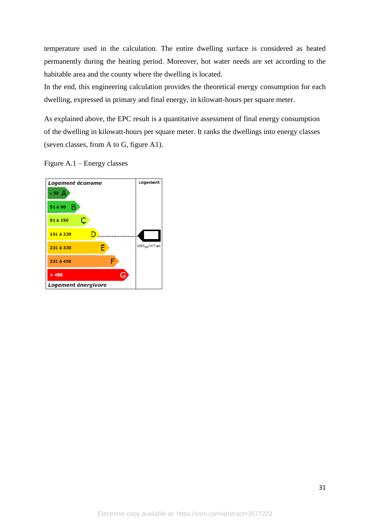temperature used in the calculation. The entire dwelling surface is considered as heated permanently during the heating period. Moreover, hot water needs are set according to the habitable area and the county where the dwelling is located.

In the end, this engineering calculation provides the theoretical energy consumption for each dwelling, expressed in primary and final energy, in kilowatt-hours per square meter.

As explained above, the EPC result is a quantitative assessment of final energy consumption of the dwelling in kilowatt-hours per square meter. It ranks the dwellings into energy classes (seven classes, from A to G, figure A1).

Figure A.1 – Energy classes

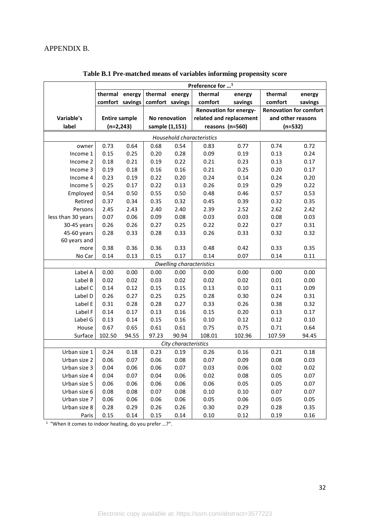|                    | Preference for <sup>1</sup> |       |                 |                      |                                 |                         |                   |                               |  |  |
|--------------------|-----------------------------|-------|-----------------|----------------------|---------------------------------|-------------------------|-------------------|-------------------------------|--|--|
|                    | thermal energy              |       | thermal energy  |                      | thermal                         | energy                  | thermal           | energy                        |  |  |
|                    | comfort savings             |       | comfort savings |                      | comfort                         | savings                 | comfort           | savings                       |  |  |
|                    |                             |       |                 |                      |                                 | Renovation for energy-  |                   | <b>Renovation for comfort</b> |  |  |
| Variable's         | <b>Entire sample</b>        |       | No renovation   |                      |                                 | related and replacement | and other reasons |                               |  |  |
| label              | $(n=2,243)$                 |       | sample (1,151)  |                      |                                 | reasons (n=560)         | $(n=532)$         |                               |  |  |
|                    |                             |       |                 |                      | Household characteristics       |                         |                   |                               |  |  |
| owner              | 0.73                        | 0.64  | 0.68            | 0.54                 | 0.83                            | 0.77                    | 0.74              | 0.72                          |  |  |
| Income 1           | 0.15                        | 0.25  | 0.20            | 0.28                 | 0.09                            | 0.19                    | 0.13              | 0.24                          |  |  |
| Income 2           | 0.18                        | 0.21  | 0.19            | 0.22                 | 0.21                            | 0.23                    | 0.13              | 0.17                          |  |  |
| Income 3           | 0.19                        | 0.18  | 0.16            | 0.16                 | 0.21                            | 0.25                    | 0.20              | 0.17                          |  |  |
| Income 4           | 0.23                        | 0.19  | 0.22            | 0.20                 | 0.24                            | 0.14                    | 0.24              | 0.20                          |  |  |
| Income 5           | 0.25                        | 0.17  | 0.22            | 0.13                 | 0.26                            | 0.19                    | 0.29              | 0.22                          |  |  |
| Employed           | 0.54                        | 0.50  | 0.55            | 0.50                 | 0.48                            | 0.46                    | 0.57              | 0.53                          |  |  |
| Retired            | 0.37                        | 0.34  | 0.35            | 0.32                 | 0.45                            | 0.39                    | 0.32              | 0.35                          |  |  |
| Persons            | 2.45                        | 2.43  | 2.40            | 2.40                 | 2.39                            | 2.52                    | 2.62              | 2.42                          |  |  |
| less than 30 years | 0.07                        | 0.06  | 0.09            | 0.08                 | 0.03                            | 0.03                    | 0.08              | 0.03                          |  |  |
| 30-45 years        | 0.26                        | 0.26  | 0.27            | 0.25                 | 0.22                            | 0.22                    | 0.27              | 0.31                          |  |  |
| 45-60 years        | 0.28                        | 0.33  | 0.28            | 0.33                 | 0.26                            | 0.33                    | 0.32              | 0.32                          |  |  |
| 60 years and       |                             |       |                 |                      |                                 |                         |                   |                               |  |  |
| more               | 0.38                        | 0.36  | 0.36            | 0.33                 | 0.48                            | 0.42                    | 0.33              | 0.35                          |  |  |
| No Car             | 0.14                        | 0.13  | 0.15            | 0.17                 | 0.14                            | 0.07                    | 0.14              | 0.11                          |  |  |
|                    |                             |       |                 |                      | <b>Dwelling characteristics</b> |                         |                   |                               |  |  |
| Label A            | 0.00                        | 0.00  | 0.00            | 0.00                 | 0.00                            | 0.00                    | 0.00              | 0.00                          |  |  |
| Label B            | 0.02                        | 0.02  | 0.03            | 0.02                 | 0.02                            | 0.02                    | 0.01              | 0.00                          |  |  |
| Label C            | 0.14                        | 0.12  | 0.15            | 0.15                 | 0.13                            | 0.10                    | 0.11              | 0.09                          |  |  |
| Label D            | 0.26                        | 0.27  | 0.25            | 0.25                 | 0.28                            | 0.30                    | 0.24              | 0.31                          |  |  |
| Label E            | 0.31                        | 0.28  | 0.28            | 0.27                 | 0.33                            | 0.26                    | 0.38              | 0.32                          |  |  |
| Label F            | 0.14                        | 0.17  | 0.13            | 0.16                 | 0.15                            | 0.20                    | 0.13              | 0.17                          |  |  |
| Label G            | 0.13                        | 0.14  | 0.15            | 0.16                 | 0.10                            | 0.12                    | 0.12              | 0.10                          |  |  |
| House              | 0.67                        | 0.65  | 0.61            | 0.61                 | 0.75                            | 0.75                    | 0.71              | 0.64                          |  |  |
| Surface            | 102.50                      | 94.55 | 97.23           | 90.94                | 108.01                          | 102.96                  | 107.59            | 94.45                         |  |  |
|                    |                             |       |                 | City characteristics |                                 |                         |                   |                               |  |  |
| Urban size 1       | 0.24                        | 0.18  | 0.23            | 0.19                 | 0.26                            | 0.16                    | 0.21              | 0.18                          |  |  |
| Urban size 2       | 0.06                        | 0.07  | 0.06            | 0.08                 | 0.07                            | 0.09                    | 0.08              | 0.03                          |  |  |
| Urban size 3       | 0.04                        | 0.06  | 0.06            | 0.07                 | 0.03                            | 0.06                    | 0.02              | 0.02                          |  |  |
| Urban size 4       | 0.04                        | 0.07  | 0.04            | 0.06                 | 0.02                            | 0.08                    | 0.05              | 0.07                          |  |  |
| Urban size 5       | 0.06                        | 0.06  | 0.06            | 0.06                 | 0.06                            | 0.05                    | 0.05              | 0.07                          |  |  |
| Urban size 6       | 0.08                        | 0.08  | 0.07            | 0.08                 | 0.10                            | 0.10                    | 0.07              | 0.07                          |  |  |
| Urban size 7       | 0.06                        | 0.06  | 0.06            | 0.06                 | 0.05                            | 0.06                    | 0.05              | 0.05                          |  |  |
| Urban size 8       | 0.28                        | 0.29  | 0.26            | 0.26                 | 0.30                            | 0.29                    | 0.28              | 0.35                          |  |  |
| Paris              | 0.15                        | 0.14  | 0.15            | 0.14                 | 0.10                            | 0.12                    | 0.19              | 0.16                          |  |  |

**Table B.1 Pre-matched means of variables informing propensity score**

<sup>1</sup> "When it comes to indoor heating, do you prefer ...?".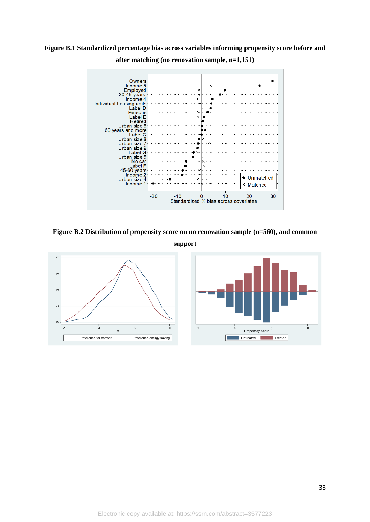

**Figure B.1 Standardized percentage bias across variables informing propensity score before and after matching (no renovation sample, n=1,151)**

**Figure B.2 Distribution of propensity score on no renovation sample (n=560), and common** 

**support**

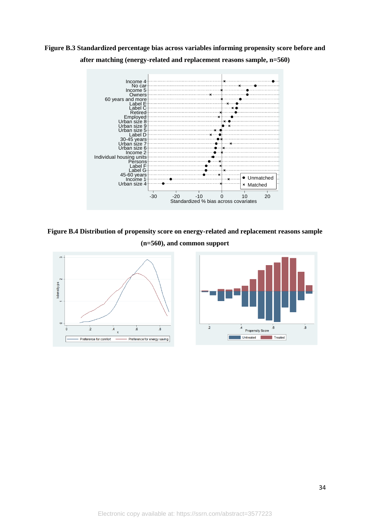**Figure B.3 Standardized percentage bias across variables informing propensity score before and after matching (energy-related and replacement reasons sample, n=560)**



**Figure B.4 Distribution of propensity score on energy-related and replacement reasons sample (n=560), and common support**

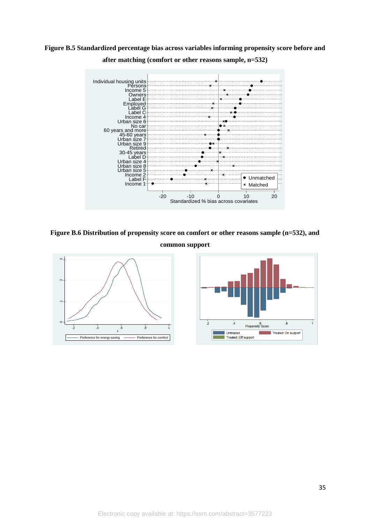

**Figure B.5 Standardized percentage bias across variables informing propensity score before and after matching (comfort or other reasons sample, n=532)**

**Figure B.6 Distribution of propensity score on comfort or other reasons sample (n=532), and** 

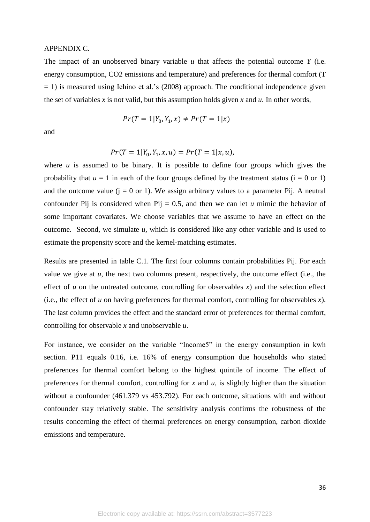#### APPENDIX C.

The impact of an unobserved binary variable *u* that affects the potential outcome *Y* (i.e. energy consumption, CO2 emissions and temperature) and preferences for thermal comfort (T  $= 1$ ) is measured using Ichino et al.'s (2008) approach. The conditional independence given the set of variables  $x$  is not valid, but this assumption holds given  $x$  and  $u$ . In other words,

$$
Pr(T = 1 | Y_0, Y_1, x) \neq Pr(T = 1 | x)
$$

and

$$
Pr(T = 1 | Y_0, Y_1, x, u) = Pr(T = 1 | x, u),
$$

where  $u$  is assumed to be binary. It is possible to define four groups which gives the probability that  $u = 1$  in each of the four groups defined by the treatment status ( $i = 0$  or 1) and the outcome value  $(i = 0 \text{ or } 1)$ . We assign arbitrary values to a parameter Pij. A neutral confounder Pij is considered when Pij = 0.5, and then we can let  $u$  mimic the behavior of some important covariates. We choose variables that we assume to have an effect on the outcome. Second, we simulate  $u$ , which is considered like any other variable and is used to estimate the propensity score and the kernel-matching estimates.

Results are presented in table C.1. The first four columns contain probabilities Pij. For each value we give at *u*, the next two columns present, respectively, the outcome effect (i.e., the effect of  $u$  on the untreated outcome, controlling for observables  $x$ ) and the selection effect (i.e., the effect of *u* on having preferences for thermal comfort, controlling for observables *x*). The last column provides the effect and the standard error of preferences for thermal comfort, controlling for observable *x* and unobservable *u*.

For instance, we consider on the variable "Income5" in the energy consumption in kwh section. P11 equals 0.16, i.e. 16% of energy consumption due households who stated preferences for thermal comfort belong to the highest quintile of income. The effect of preferences for thermal comfort, controlling for *x* and *u*, is slightly higher than the situation without a confounder (461.379 vs 453.792). For each outcome, situations with and without confounder stay relatively stable. The sensitivity analysis confirms the robustness of the results concerning the effect of thermal preferences on energy consumption, carbon dioxide emissions and temperature.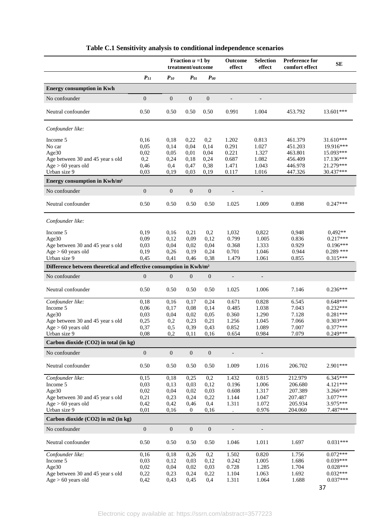| Fraction $u = 1$ by<br>treatment/outcome                                                                                                | <b>Preference for</b><br><b>Outcome</b><br><b>Selection</b><br><b>SE</b><br>effect<br>effect<br>comfort effect |  |
|-----------------------------------------------------------------------------------------------------------------------------------------|----------------------------------------------------------------------------------------------------------------|--|
| $P_{II}$<br>$P_{10}$<br>$P_{0I}$<br>$P_{00}$                                                                                            |                                                                                                                |  |
| <b>Energy consumption in Kwh</b>                                                                                                        |                                                                                                                |  |
| $\boldsymbol{0}$<br>$\boldsymbol{0}$<br>$\boldsymbol{0}$<br>$\mathbf{0}$<br>No confounder                                               |                                                                                                                |  |
| Neutral confounder<br>0.50<br>0.50<br>0.50<br>0.50<br>0.991                                                                             | 13.601***<br>1.004<br>453.792                                                                                  |  |
| Confounder like:                                                                                                                        |                                                                                                                |  |
| 0,2<br>Income 5<br>0,16<br>0,18<br>0,22<br>1.202                                                                                        | 0.813<br>461.379<br>31.610***                                                                                  |  |
| 0,04<br>0,14<br>0.291<br>No car<br>0,05<br>0,14                                                                                         | 1.027<br>19.916***<br>451.203                                                                                  |  |
| Age30<br>0,02<br>0,01<br>0,04<br>0.221<br>0,05<br>0,2<br>0,18<br>0,24<br>0.687<br>Age between 30 and 45 year s old<br>0,24              | 1.327<br>463.801<br>15.093***<br>1.082<br>456.409<br>17.136***                                                 |  |
| 0,46<br>0,4<br>0,47<br>0,38<br>1.471<br>Age > 60 years old                                                                              | 1.043<br>21.279***<br>446.978                                                                                  |  |
| Urban size 9<br>0,03<br>0.117<br>0,03<br>0,19<br>0,19                                                                                   | 1.016<br>30.437***<br>447.326                                                                                  |  |
| Energy consumption in Kwh/m <sup>2</sup>                                                                                                |                                                                                                                |  |
| $\boldsymbol{0}$<br>No confounder<br>$\mathbf{0}$<br>$\boldsymbol{0}$<br>$\mathbf{0}$<br>$\overline{\phantom{a}}$                       | $\overline{\phantom{a}}$                                                                                       |  |
| Neutral confounder<br>0.50<br>0.50<br>0.50<br>0.50<br>1.025                                                                             | $0.247***$<br>1.009<br>0.898                                                                                   |  |
| Confounder like:                                                                                                                        |                                                                                                                |  |
| 0,19<br>0,21<br>0,2<br>Income 5<br>0,16<br>1,032                                                                                        | 0,822<br>0,948<br>$0.492**$                                                                                    |  |
| 0,09<br>0,12<br>0,09<br>0,12<br>Age30                                                                                                   | $0.217***$<br>0.799<br>1.005<br>0.836                                                                          |  |
| 0,03<br>0,02<br>0,04<br>Age between 30 and 45 year s old<br>0,04<br>0,19<br>0,24<br>0.701                                               | 0.368<br>1.333<br>0.929<br>$0.196***$<br>$0.289$ ***<br>0.944                                                  |  |
| Age > 60 years old<br>0,26<br>0,19<br>Urban size 9<br>0,45<br>0,41<br>0,46<br>0,38                                                      | 1.046<br>$0.315***$<br>1.479<br>0.855<br>1.061                                                                 |  |
| Difference between theoretical and effective consumption in Kwh/m <sup>2</sup>                                                          |                                                                                                                |  |
| $\mathbf{0}$<br>$\mathbf{0}$<br>$\boldsymbol{0}$<br>$\mathbf{0}$<br>No confounder<br>$\overline{\phantom{a}}$                           |                                                                                                                |  |
| Neutral confounder<br>0.50<br>0.50<br>0.50<br>1.025<br>0.50                                                                             | 7.146<br>$0.236***$<br>1.006                                                                                   |  |
| Confounder like:<br>0,18<br>0,17<br>0.671<br>0,16<br>0,24                                                                               | 0.828<br>6.545<br>$0.648***$                                                                                   |  |
| 0,06<br>0,08<br>0,14<br>Income 5<br>0,17                                                                                                | $0.232***$<br>0.485<br>1.038<br>7.043                                                                          |  |
| 0,03<br>0,04<br>0,02<br>0.05<br>0.360<br>Age30                                                                                          | $0.281***$<br>1.290<br>7.128                                                                                   |  |
| Age between 30 and 45 year s old<br>0,25<br>0,23<br>0,21<br>1.256<br>0,2                                                                | 1.045<br>7.066<br>$0.303***$                                                                                   |  |
| 0,39<br>0,37<br>0,5<br>0,43<br>0.852<br>Age > 60 years old<br>0,08<br>0,2<br>0,11<br>0,16<br>Urban size 9<br>0.654                      | 1.089<br>7.007<br>$0.377***$<br>7.079<br>$0.249***$<br>0.984                                                   |  |
| Carbon dioxide $(CO2)$ in total (in kg)                                                                                                 |                                                                                                                |  |
| $\boldsymbol{0}$<br>$\boldsymbol{0}$<br>$\boldsymbol{0}$<br>$\mathbf{0}$<br>No confounder<br>$\overline{\phantom{a}}$                   | $\overline{\phantom{m}}$                                                                                       |  |
| Neutral confounder<br>0.50<br>0.50<br>0.50<br>0.50<br>1.009                                                                             | 1.016<br>2.901***<br>206.702                                                                                   |  |
| Confounder like:<br>0,15<br>0,18<br>0,25<br>0,2<br>1.432                                                                                | 0.815<br>212.979<br>$6.345***$                                                                                 |  |
| Income 5<br>0,03<br>0,03<br>0,12<br>0,13                                                                                                | 0.196<br>4.121***<br>1.006<br>206.680                                                                          |  |
| 0,02<br>0,02<br>Age30<br>0,04<br>0,03                                                                                                   | 0.608<br>1.317<br>207.389<br>3.266***                                                                          |  |
| 1.144<br>Age between 30 and 45 year s old<br>0,21<br>0,23<br>0,24<br>0,22<br>1.311<br>Age > 60 years old<br>0,42<br>0,42<br>0,46<br>0,4 | 3.077***<br>1.047<br>207.487<br>1.072<br>205.934<br>3.975***                                                   |  |
| Urban size 9<br>0,01<br>0,16<br>$\mathbf{0}$<br>0,16                                                                                    | 7.487***<br>0.976<br>204.060                                                                                   |  |
| Carbon dioxide (CO2) in m2 (in kg)                                                                                                      |                                                                                                                |  |
| $\boldsymbol{0}$<br>$\boldsymbol{0}$<br>No confounder<br>$\mathbf{0}$<br>$\boldsymbol{0}$<br>$\overline{\phantom{a}}$                   | $\overline{\phantom{a}}$                                                                                       |  |
| Neutral confounder<br>0.50<br>0.50<br>0.50<br>0.50<br>1.046                                                                             | $0.031***$<br>1.011<br>1.697                                                                                   |  |
| Confounder like:<br>0,16<br>0,26<br>0,2<br>1.502<br>0,18                                                                                | 0.820<br>$0.072***$<br>1.756                                                                                   |  |
| Income 5<br>0,03<br>0,12<br>0,03<br>0,12                                                                                                |                                                                                                                |  |
|                                                                                                                                         | $0.039***$<br>0.242<br>1.005<br>1.686                                                                          |  |
| 0,02<br>Age30<br>0,04<br>0,02<br>0,03<br>Age between 30 and 45 year s old<br>0,22<br>0,24<br>0,22<br>1.104<br>0,23                      | 0.728<br>1.704<br>$0.028***$<br>1.285<br>$0.032***$<br>1.063<br>1.692                                          |  |

### **Table C.1 Sensitivity analysis to conditional independence scenarios**

37